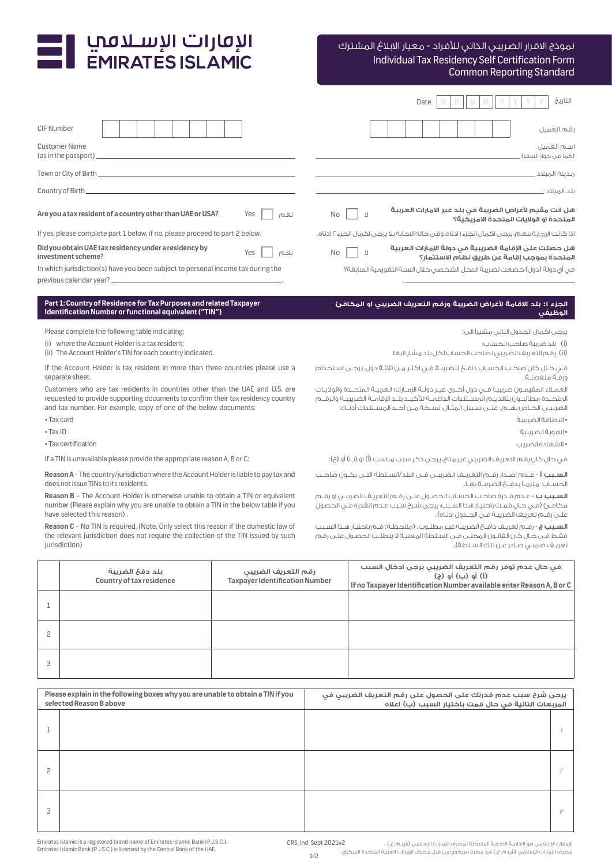# I الإمارات الإسـلامب<br>EMIRATES ISLAMIC

# Individual Tax Residency Self Certification Form Common Reporting Standard نموذج االقرار الضريبي الذاتي لألفراد - معيار االبالغ المشترك

|                                                                                           | التاريخ<br>Date                                                                                                     |
|-------------------------------------------------------------------------------------------|---------------------------------------------------------------------------------------------------------------------|
| <b>CIF Number</b>                                                                         | قم العميل                                                                                                           |
| <b>Customer Name</b><br>(as in the passport).                                             | سم العميل<br>(كما في جواز السغر)                                                                                    |
| Town or City of Birth.                                                                    | مدينة الميلاد .                                                                                                     |
| Country of Birth_                                                                         | للد المىلاد                                                                                                         |
| Are you a tax resident of a country other than UAE or USA?<br>Yes<br>نعم                  | هل انت مقيم لأغراض الضريبة في بلد غير الامارات العربية<br>$No$    <br>- 71<br>لمتحدة اه الولايات المتحدة الامريكية؟ |
| If yes, please complete part 1 below, if no, please proceed to part 2 below.              | اذا كانت الإجابة بنعم، يرجى اكمال الجزء ا ادناه، وفى حالة الاجابة بلا يرجى اكمال الجزء ٢ ادناه.                     |
| Did you obtain UAE tax residency under a residency by<br>Yes<br>نعم<br>investment scheme? | هل حصلت على الإقامة الضريبية في دولة الإمارات العربية<br>No<br>- 71<br>المتحدة بموجب إقامة عن طريق نظام الاستثمار؟  |
| In which jurisdiction(s) have you been subject to personal income tax during the          | غب آي دولة (دول) خضعت لضريبة الدخل الشخصي خلال السنة التقويمية السابقة؟                                             |

previous calendar year? .

#### **Part 1: Country of Residence for Tax Purposes and related Taxpayer Identification Number or functional equivalent ("TIN")**

Please complete the following table indicating:

(i) where the Account Holder is a tax resident;

(ii) The Account Holder's TIN for each country indicated.

If the Account Holder is tax resident in more than three countries please use a separate sheet.

Customers who are tax residents in countries other than the UAE and U.S. are requested to provide supporting documents to confirm their tax residency country and tax number. For example, copy of one of the below documents:

• Tax card

• Tax ID

• Tax certification

If a TIN is unavailable please provide the appropriate reason A, B or C:

**Reason A** - The country/jurisdiction where the Account Holder is liable to pay tax and does not issue TINs to its residents.

**Reason B** - The Account Holder is otherwise unable to obtain a TIN or equivalent number (Please explain why you are unable to obtain a TIN in the below table if you have selected this reason) .

**Reason C** - No TIN is required. (Note. Only select this reason if the domestic law of the relevant jurisdiction does not require the collection of the TIN issued by such jurisdiction)

### **الجزء :1 بلد االقامة ألغراض الضريبة ورقم التعريف الضريبي او المكافئ الوظيفي**

.

يرجى اكمال الجدول التالي مشيرًا الى:

)i )بلد ضريبة صاحب الحساب؛

)ii )رقم التعريف الضريبي لصاحب الحساب لكل بلد مشار اليها

فـي حـال كان صاحـب الحسـاب دافـع للضريبـة فـي اكثـر مـن ثالثـة دول، يرجـى اسـتخدام ورقـة منفصلـة.

العمــاء المقيمــون ضريبيــا فــي دول أخــرى غيــر دولــة اإلمــارات العربيــة المتحــدة والواليــات المتحــدة مطالبــون بتقديــم المســتندات الداعمــة لتأكيــد بلــد اإلقامــة الضريبيــة والرقــم الضريبــي الخــاص بهــم. علــى ســبيل المثــال، نســخة مــن أحــد المســتندات أدنــاه:

• البطاقة الضريبية

• الهوية الضريبية • الشهادة الضريب

في حال كان رقم التعريف الضريبي غير متاح، يرجى ذكر سبب مناسب (أ) او (ب) أو (ج):

**الســبب أ** - عــدم اصــدار رقــم التعريــف الضريبــي فــي البلد/الســلطة التــي يكــون صاحــب الحسـاب ملزمـا بدفـع الضريبـة بهـا.

**السـبب ب** - عـدم قـدرة صاحـب الحسـاب الحصـول علـى رقـم التعريـف الضريبـي او رقـم مكافـئ )فـي حـال قمـت باختيـار هذا السـبب، يرجى شـرح سـبب عـدم القدرة فـي الحصول علـى رقـم تعريـف الضريبـة فـي الجـدول ادنـاه).

**السـبب ج** - رقـم تعريـف دافـع الضريبـة غيـر مطلـوب. )مالحظـة: قـم باختيـار هـذا السـبب فقـط فـي حـال كان القانـون المحلـي فـي السـلطة المعنيـة ال يتطلـب الحصـول علـى رقم تعريـف ضريبـي صـادر عـن تلك السـلطة(.

| بلد دفع الضريبة<br>Country of tax residence | رقم التعريف الضريبي<br><b>Taxpayer Identification Number</b> | فى حال عدم توفر رقم التعريف الضريبي يرجى ادخال السبب<br>(i) أو (ب) أو (ج)<br>If no Taxpayer Identification Number available enter Reason A, B or C |
|---------------------------------------------|--------------------------------------------------------------|----------------------------------------------------------------------------------------------------------------------------------------------------|
|                                             |                                                              |                                                                                                                                                    |
|                                             |                                                              |                                                                                                                                                    |
|                                             |                                                              |                                                                                                                                                    |

| Please explain in the following boxes why you are unable to obtain a TIN if you<br>selected Reason Babove |  | يرجى شرح سبب عدم قدرتك على الحصول على رقم التعريف الضريبي في<br><br>المربعات التالية في حال قمت باختيار السبب (ب) اعلاه |   |
|-----------------------------------------------------------------------------------------------------------|--|-------------------------------------------------------------------------------------------------------------------------|---|
|                                                                                                           |  |                                                                                                                         |   |
| О                                                                                                         |  |                                                                                                                         |   |
| 3                                                                                                         |  |                                                                                                                         | ш |